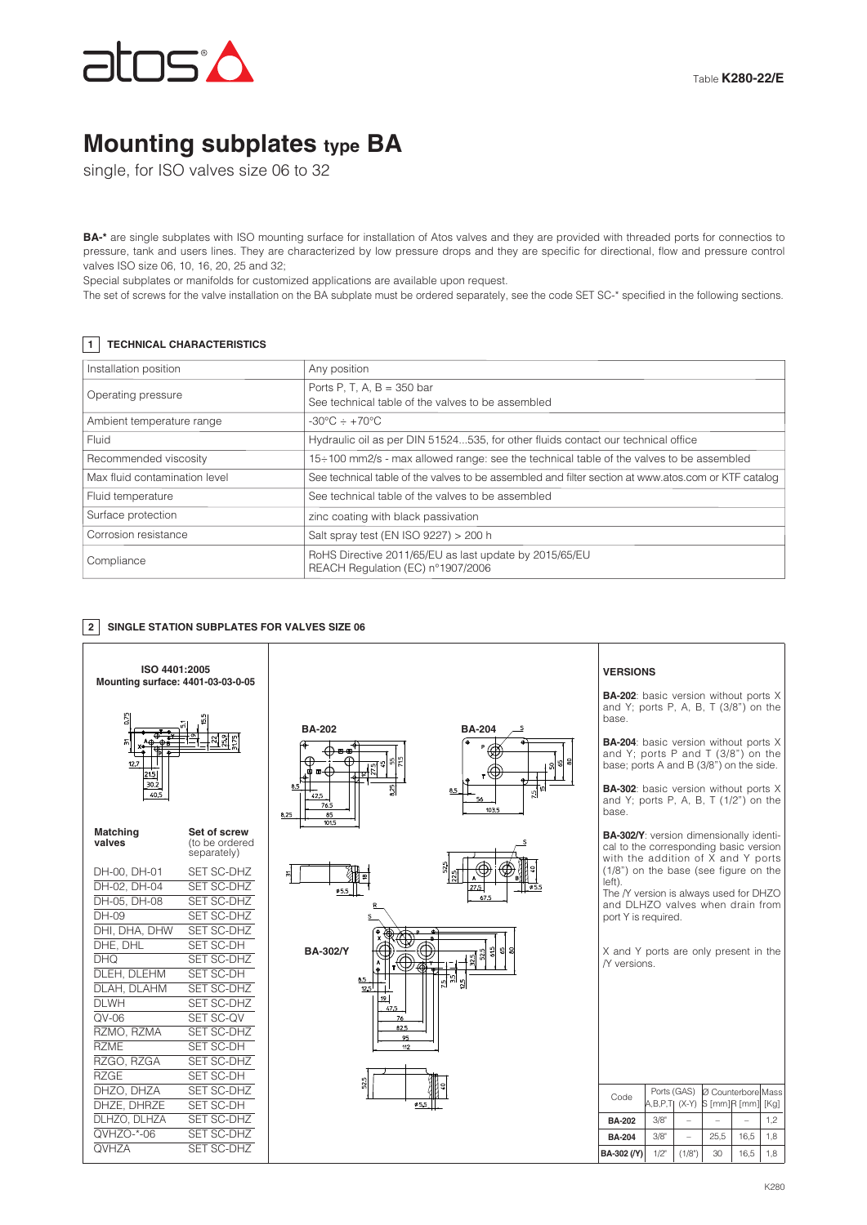

# **Mounting subplates type BA**

single, for ISO valves size 06 to 32

**BA-\*** are single subplates with ISO mounting surface for installation of Atos valves and they are provided with threaded ports for connectios to pressure, tank and users lines. They are characterized by low pressure drops and they are specific for directional, flow and pressure control valves ISO size 06, 10, 16, 20, 25 and 32;

Special subplates or manifolds for customized applications are available upon request.

The set of screws for the valve installation on the BA subplate must be ordered separately, see the code SET SC-\* specified in the following sections.

## **1 TECHNICAL CHARACTERISTICS**

| Installation position         | Any position                                                                                        |  |  |  |
|-------------------------------|-----------------------------------------------------------------------------------------------------|--|--|--|
| Operating pressure            | Ports P, T, A, $B = 350$ bar<br>See technical table of the valves to be assembled                   |  |  |  |
| Ambient temperature range     | $-30^{\circ}$ C $\div$ +70 $^{\circ}$ C                                                             |  |  |  |
| Fluid                         | Hydraulic oil as per DIN 51524535, for other fluids contact our technical office                    |  |  |  |
| Recommended viscosity         | $15\div100$ mm2/s - max allowed range: see the technical table of the valves to be assembled        |  |  |  |
| Max fluid contamination level | See technical table of the valves to be assembled and filter section at www.atos.com or KTF catalog |  |  |  |
| Fluid temperature             | See technical table of the valves to be assembled                                                   |  |  |  |
| Surface protection            | zinc coating with black passivation                                                                 |  |  |  |
| Corrosion resistance          | Salt spray test (EN ISO 9227) > 200 h                                                               |  |  |  |
| Compliance                    | RoHS Directive 2011/65/EU as last update by 2015/65/EU<br>REACH Regulation (EC) n°1907/2006         |  |  |  |

# **2 SINGLE STATION SUBPLATES FOR VALVES SIZE 06**

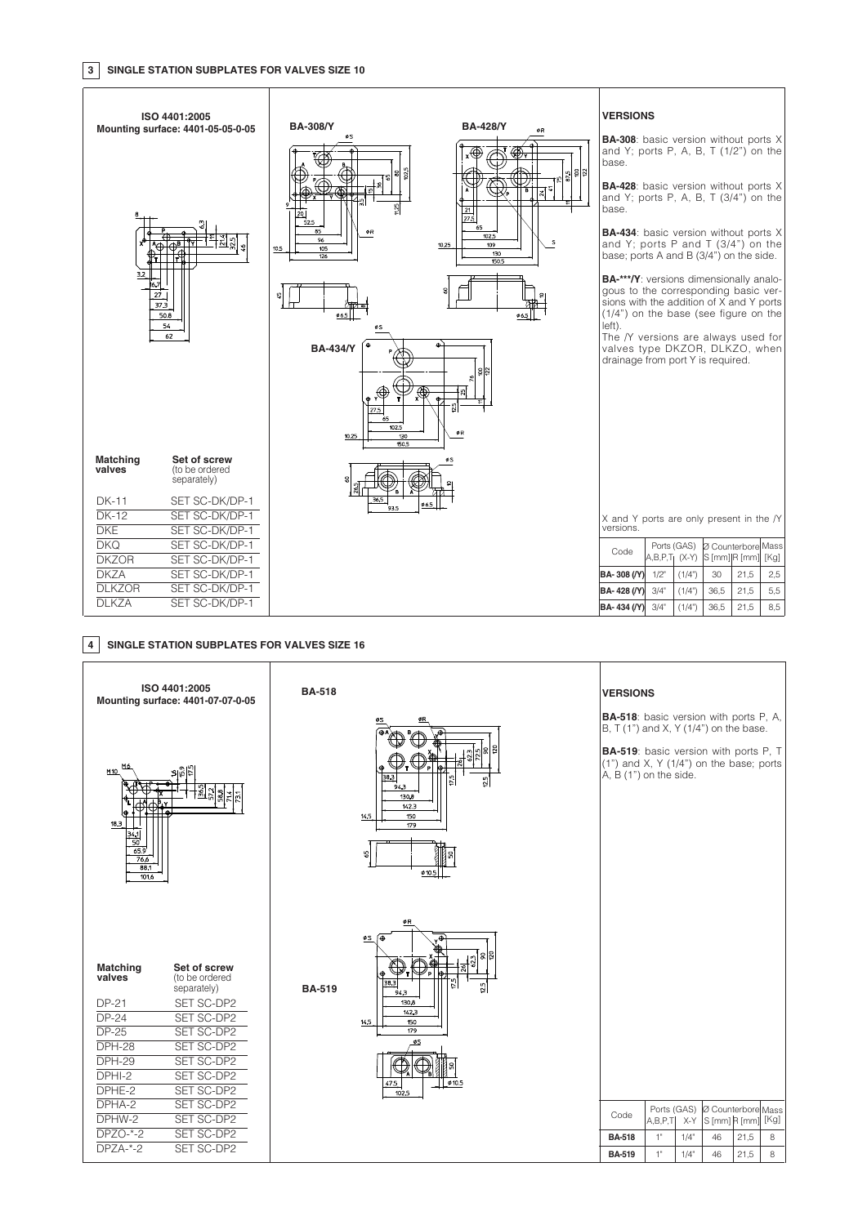

### **4 SINGLE STATION SUBPLATES FOR VALVES SIZE 16**

|                                                                                         | ISO 4401:2005<br>Mounting surface: 4401-07-07-0-05                        | <b>BA-518</b> |                                                                                                              | <b>VERSIONS</b><br><b>BA-518</b> : basic version with ports P, A,                                                                                            |    |                    |                                        |      |   |
|-----------------------------------------------------------------------------------------|---------------------------------------------------------------------------|---------------|--------------------------------------------------------------------------------------------------------------|--------------------------------------------------------------------------------------------------------------------------------------------------------------|----|--------------------|----------------------------------------|------|---|
| M6<br>M <sub>10</sub><br>lΦ<br>18.3<br>$\frac{34}{50}$<br>65.9<br>76.6<br>88.1<br>101.6 |                                                                           |               | ន្ទ<br>38.3<br>$\frac{15}{2}$<br>⊵่<br>94.3<br>130.8<br>1423<br>150<br>14.5<br>179<br>S,<br>Ø10.5            | B, T $(1")$ and X, Y $(1/4")$ on the base.<br>BA-519: basic version with ports P, T<br>$(1")$ and X, Y $(1/4")$ on the base; ports<br>A, B (1") on the side. |    |                    |                                        |      |   |
| <b>Matching</b><br>valves<br><b>DP-21</b><br>$DP-24$                                    | Set of screw<br>(to be ordered<br>separately)<br>SET SC-DP2<br>SET SC-DP2 | <b>BA-519</b> | øR<br><u>øs</u> (⊕<br>18<br>$\boldsymbol{8}$<br>26<br>38.3<br>$\frac{15}{2}$<br>È,<br>94.3<br>130,8<br>142.3 |                                                                                                                                                              |    |                    |                                        |      |   |
| <b>DP-25</b>                                                                            | SET SC-DP2                                                                |               | 14.5<br>150<br>179                                                                                           |                                                                                                                                                              |    |                    |                                        |      |   |
| <b>DPH-28</b>                                                                           | SET SC-DP2                                                                |               | øS                                                                                                           |                                                                                                                                                              |    |                    |                                        |      |   |
| <b>DPH-29</b>                                                                           | SET SC-DP2                                                                |               |                                                                                                              |                                                                                                                                                              |    |                    |                                        |      |   |
| DPHI-2<br>DPHE-2                                                                        | SET SC-DP2<br>SET SC-DP2                                                  |               | 0.5<br>47.5<br>102.5                                                                                         |                                                                                                                                                              |    |                    |                                        |      |   |
| DPHA-2                                                                                  | SET SC-DP2                                                                |               |                                                                                                              |                                                                                                                                                              |    |                    | Ports (GAS)  Ø Counterbore Mass        |      |   |
| DPHW-2                                                                                  | SET SC-DP2                                                                |               |                                                                                                              | Code                                                                                                                                                         |    |                    | A,B,P,T  X-Y $ S$ [mm] $R$ [mm] $[Kg]$ |      |   |
| $DPZO-*-2$                                                                              | SET SC-DP2                                                                |               |                                                                                                              | <b>BA-518</b>                                                                                                                                                | 1" | $1/4$ "            | 46                                     | 21,5 | 8 |
| $DPZA-*-2$                                                                              | SET SC-DP2                                                                |               |                                                                                                              | <b>BA-519</b>                                                                                                                                                | 1" | $1/4$ <sup>*</sup> | 46                                     | 21,5 | 8 |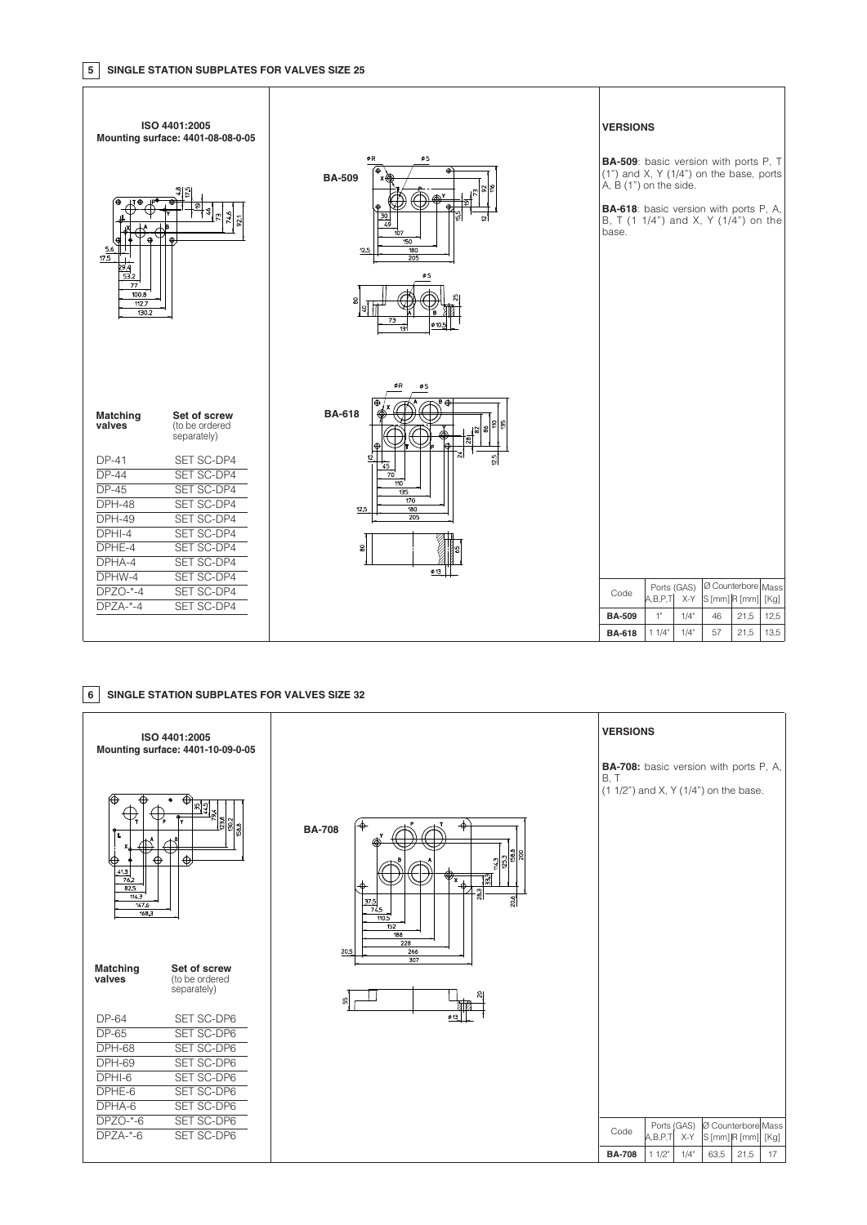

#### **6 SINGLE STATION SUBPLATES FOR VALVES SIZE 32**